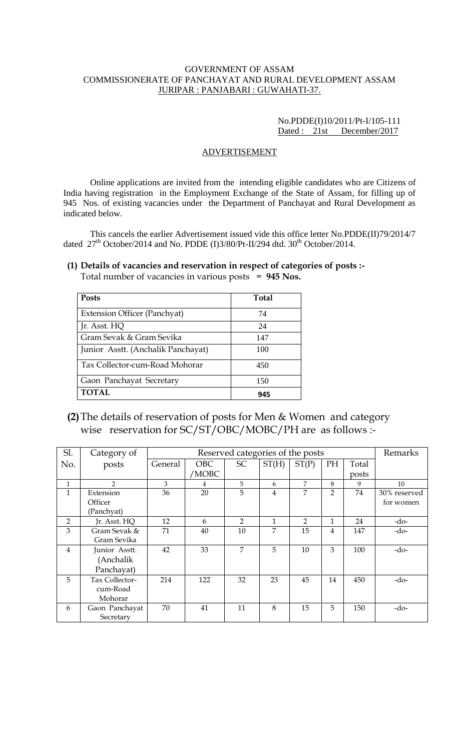#### GOVERNMENT OF ASSAM COMMISSIONERATE OF PANCHAYAT AND RURAL DEVELOPMENT ASSAM JURIPAR : PANJABARI : GUWAHATI-37.

## No.PDDE(I)10/2011/Pt-I/105-111 Dated : 21st December/2017

#### ADVERTISEMENT

Online applications are invited from the intending eligible candidates who are Citizens of India having registration in the Employment Exchange of the State of Assam, for filling up of 945 Nos. of existing vacancies under the Department of Panchayat and Rural Development as indicated below.

This cancels the earlier Advertisement issued vide this office letter No.PDDE(II)79/2014/7 dated  $27<sup>th</sup> October/2014$  and No. PDDE (I)3/80/Pt-II/294 dtd.  $30<sup>th</sup> October/2014$ .

# **(1) Details of vacancies and reservation in respect of categories of posts :-**

Total number of vacancies in various posts = **945 Nos.**

| <b>Posts</b>                        | Total |
|-------------------------------------|-------|
| <b>Extension Officer (Panchyat)</b> | 74    |
| Jr. Asst. HQ                        | 24    |
| Gram Sevak & Gram Sevika            | 147   |
| Junior Asstt. (Anchalik Panchayat)  | 100   |
| Tax Collector-cum-Road Mohorar      | 450   |
| Gaon Panchayat Secretary            | 150   |
| <b>TOTAL</b>                        | 945   |

**(2)**The details of reservation of posts for Men & Women and category wise reservation for SC/ST/OBC/MOBC/PH are as follows :-

| Sl.            | Category of    | Reserved categories of the posts |            |                |                | Remarks        |                |       |              |
|----------------|----------------|----------------------------------|------------|----------------|----------------|----------------|----------------|-------|--------------|
| No.            | posts          | General                          | <b>OBC</b> | <b>SC</b>      | ST(H)          | ST(P)          | PH             | Total |              |
|                |                |                                  | MOBC       |                |                |                |                | posts |              |
| $\mathbf{1}$   | $\overline{2}$ | 3                                | 4          | 5              | 6              | 7              | 8              | 9     | 10           |
| 1              | Extension      | 36                               | 20         | 5              | $\overline{4}$ | 7              | $\overline{2}$ | 74    | 30% reserved |
|                | Officer        |                                  |            |                |                |                |                |       | for women    |
|                | (Panchyat)     |                                  |            |                |                |                |                |       |              |
| 2              | Jr. Asst. HQ   | 12                               | 6          | $\overline{2}$ | 1              | $\overline{2}$ | $\mathbf{1}$   | 24    | -do-         |
| 3              | Gram Sevak &   | 71                               | 40         | 10             | 7              | 15             | 4              | 147   | -do-         |
|                | Gram Sevika    |                                  |            |                |                |                |                |       |              |
| $\overline{4}$ | Junior Asstt.  | 42                               | 33         | 7              | 5              | 10             | 3              | 100   | $-do-$       |
|                | (Anchalik      |                                  |            |                |                |                |                |       |              |
|                | Panchayat)     |                                  |            |                |                |                |                |       |              |
| 5              | Tax Collector- | 214                              | 122        | 32             | 23             | 45             | 14             | 450   | -do-         |
|                | cum-Road       |                                  |            |                |                |                |                |       |              |
|                | Mohorar        |                                  |            |                |                |                |                |       |              |
| 6              | Gaon Panchayat | 70                               | 41         | 11             | 8              | 15             | 5              | 150   | -do-         |
|                | Secretary      |                                  |            |                |                |                |                |       |              |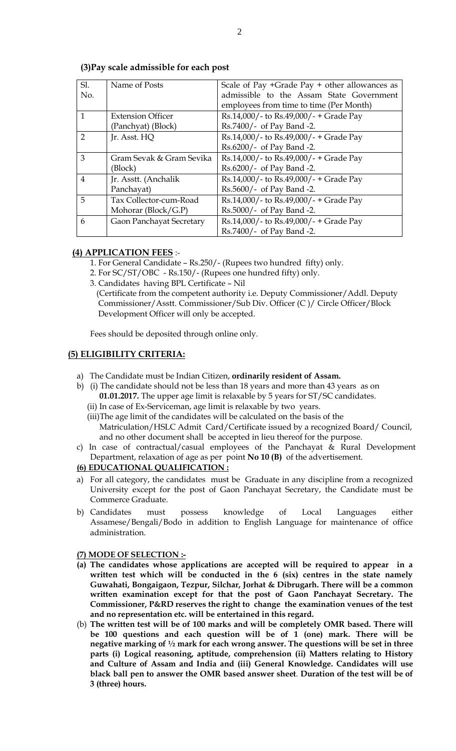| SI.            | Name of Posts            | Scale of Pay +Grade Pay + other allowances as |
|----------------|--------------------------|-----------------------------------------------|
| No.            |                          | admissible to the Assam State Government      |
|                |                          | employees from time to time (Per Month)       |
| $\mathbf{1}$   | <b>Extension Officer</b> | Rs.14,000/- to Rs.49,000/- + Grade Pay        |
|                | (Panchyat) (Block)       | Rs.7400/- of Pay Band -2.                     |
| $\mathcal{P}$  | Jr. Asst. HQ             | Rs.14,000/- to Rs.49,000/- + Grade Pay        |
|                |                          | Rs.6200/- of Pay Band -2.                     |
| 3              | Gram Sevak & Gram Sevika | Rs.14,000/- to Rs.49,000/- + Grade Pay        |
|                | (Block)                  | Rs.6200/- of Pay Band -2.                     |
| $\overline{4}$ | Jr. Asstt. (Anchalik     | Rs.14,000/- to Rs.49,000/- + Grade Pay        |
|                | Panchayat)               | Rs.5600/- of Pay Band -2.                     |
| 5              | Tax Collector-cum-Road   | Rs.14,000/- to Rs.49,000/- + Grade Pay        |
|                | Mohorar ( $Block/G.P$ )  | Rs.5000/- of Pay Band -2.                     |
| 6              | Gaon Panchayat Secretary | Rs.14,000/- to Rs.49,000/- + Grade Pay        |
|                |                          | Rs.7400/- of Pay Band -2.                     |

## **(3)Pay scale admissible for each post**

## **(4) APPLICATION FEES** :-

- 1. For General Candidate Rs.250/- (Rupees two hundred fifty) only.
- 2. For SC/ST/OBC Rs.150/- (Rupees one hundred fifty) only.
- 3. Candidates having BPL Certificate Nil

 (Certificate from the competent authority i.e. Deputy Commissioner/Addl. Deputy Commissioner/Asstt. Commissioner/Sub Div. Officer (C )/ Circle Officer/Block Development Officer will only be accepted.

Fees should be deposited through online only.

## **(5) ELIGIBILITY CRITERIA:**

- a) The Candidate must be Indian Citizen, **ordinarily resident of Assam.**
- b) (i) The candidate should not be less than 18 years and more than 43 years as on **01.01.2017.** The upper age limit is relaxable by 5 years for ST/SC candidates.
	- (ii) In case of Ex-Serviceman, age limit is relaxable by two years.
	- (iii)The age limit of the candidates will be calculated on the basis of the Matriculation/HSLC Admit Card/Certificate issued by a recognized Board/ Council, and no other document shall be accepted in lieu thereof for the purpose.
- c) In case of contractual/casual employees of the Panchayat & Rural Development Department, relaxation of age as per point **No 10 (B)** of the advertisement.

#### **(6) EDUCATIONAL QUALIFICATION :**

- a) For all category, the candidates must be Graduate in any discipline from a recognized University except for the post of Gaon Panchayat Secretary, the Candidate must be Commerce Graduate.
- b) Candidates must possess knowledge of Local Languages either Assamese/Bengali/Bodo in addition to English Language for maintenance of office administration.

#### **(7) MODE OF SELECTION :-**

- **(a) The candidates whose applications are accepted will be required to appear in a written test which will be conducted in the 6 (six) centres in the state namely Guwahati, Bongaigaon, Tezpur, Silchar, Jorhat & Dibrugarh. There will be a common written examination except for that the post of Gaon Panchayat Secretary. The Commissioner, P&RD reserves the right to change the examination venues of the test and no representation etc. will be entertained in this regard.**
- (b) **The written test will be of 100 marks and will be completely OMR based. There will be 100 questions and each question will be of 1 (one) mark. There will be negative marking of ½ mark for each wrong answer. The questions will be set in three parts (i) Logical reasoning, aptitude, comprehension (ii) Matters relating to History and Culture of Assam and India and (iii) General Knowledge. Candidates will use black ball pen to answer the OMR based answer sheet**. **Duration of the test will be of 3 (three) hours.**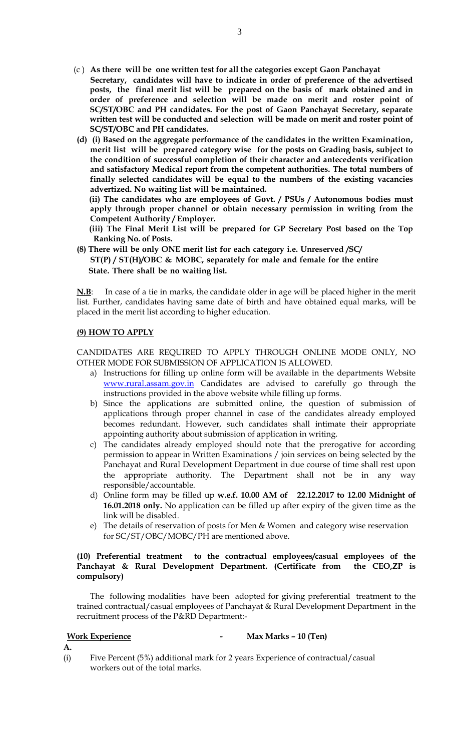- (c ) **As there will be one written test for all the categories except Gaon Panchayat Secretary, candidates will have to indicate in order of preference of the advertised posts, the final merit list will be prepared on the basis of mark obtained and in order of preference and selection will be made on merit and roster point of SC/ST/OBC and PH candidates. For the post of Gaon Panchayat Secretary, separate written test will be conducted and selection will be made on merit and roster point of SC/ST/OBC and PH candidates.**
- **(d) (i) Based on the aggregate performance of the candidates in the written Examination, merit list will be prepared category wise for the posts on Grading basis, subject to the condition of successful completion of their character and antecedents verification and satisfactory Medical report from the competent authorities. The total numbers of finally selected candidates will be equal to the numbers of the existing vacancies advertized. No waiting list will be maintained.**

 **(ii) The candidates who are employees of Govt. / PSUs / Autonomous bodies must apply through proper channel or obtain necessary permission in writing from the Competent Authority / Employer.** 

 **(iii) The Final Merit List will be prepared for GP Secretary Post based on the Top Ranking No. of Posts.**

**(8) There will be only ONE merit list for each category i.e. Unreserved /SC/ ST(P) / ST(H)/OBC & MOBC, separately for male and female for the entire State. There shall be no waiting list.**

**N.B**: In case of a tie in marks, the candidate older in age will be placed higher in the merit list. Further, candidates having same date of birth and have obtained equal marks, will be placed in the merit list according to higher education.

## **(9) HOW TO APPLY**

CANDIDATES ARE REQUIRED TO APPLY THROUGH ONLINE MODE ONLY, NO OTHER MODE FOR SUBMISSION OF APPLICATION IS ALLOWED.

- a) Instructions for filling up online form will be available in the departments Website [www.rural.assam.gov.in](http://www.rural.assam.gov.in/) Candidates are advised to carefully go through the instructions provided in the above website while filling up forms.
- b) Since the applications are submitted online, the question of submission of applications through proper channel in case of the candidates already employed becomes redundant. However, such candidates shall intimate their appropriate appointing authority about submission of application in writing.
- c) The candidates already employed should note that the prerogative for according permission to appear in Written Examinations / join services on being selected by the Panchayat and Rural Development Department in due course of time shall rest upon the appropriate authority. The Department shall not be in any way responsible/accountable.
- d) Online form may be filled up **w.e.f. 10.00 AM of 22.12.2017 to 12.00 Midnight of 16.01.2018 only.** No application can be filled up after expiry of the given time as the link will be disabled.
- e) The details of reservation of posts for Men & Women and category wise reservation for SC/ST/OBC/MOBC/PH are mentioned above.

#### **(10) Preferential treatment to the contractual employees/casual employees of the Panchayat & Rural Development Department. (Certificate from the CEO,ZP is compulsory)**

The following modalities have been adopted for giving preferential treatment to the trained contractual/casual employees of Panchayat & Rural Development Department in the recruitment process of the P&RD Department:-

**Work Experience - Max Marks – 10 (Ten)**

**A.**

(i) Five Percent (5%) additional mark for 2 years Experience of contractual/casual workers out of the total marks.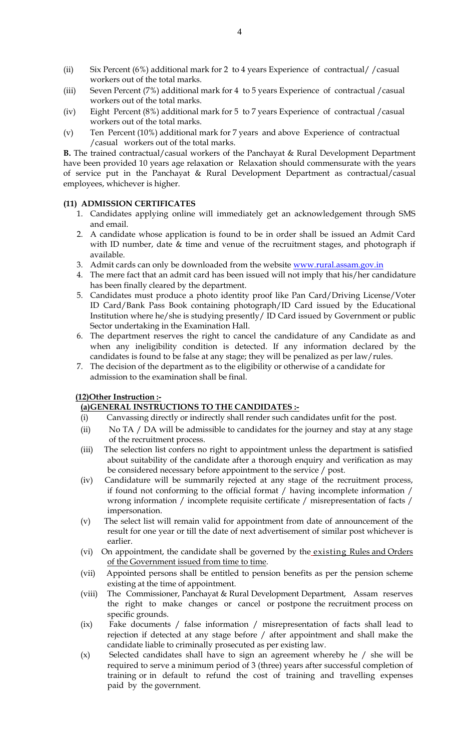- (ii) Six Percent (6%) additional mark for 2 to 4 years Experience of contractual/ /casual workers out of the total marks.
- (iii) Seven Percent (7%) additional mark for 4 to 5 years Experience of contractual /casual workers out of the total marks.
- (iv) Eight Percent (8%) additional mark for 5 to 7 years Experience of contractual /casual workers out of the total marks.
- (v) Ten Percent (10%) additional mark for 7 years and above Experience of contractual /casual workers out of the total marks.

**B.** The trained contractual/casual workers of the Panchayat & Rural Development Department have been provided 10 years age relaxation or Relaxation should commensurate with the years of service put in the Panchayat & Rural Development Department as contractual/casual employees, whichever is higher.

## **(11) ADMISSION CERTIFICATES**

- 1. Candidates applying online will immediately get an acknowledgement through SMS and email.
- 2. A candidate whose application is found to be in order shall be issued an Admit Card with ID number, date & time and venue of the recruitment stages, and photograph if available.
- 3. Admit cards can only be downloaded from the website [www.rural.assam.gov.in](http://www.rural.assam.gov.in/)
- 4. The mere fact that an admit card has been issued will not imply that his/her candidature has been finally cleared by the department.
- 5. Candidates must produce a photo identity proof like Pan Card/Driving License/Voter ID Card/Bank Pass Book containing photograph/ID Card issued by the Educational Institution where he/she is studying presently/ ID Card issued by Government or public Sector undertaking in the Examination Hall.
- 6. The department reserves the right to cancel the candidature of any Candidate as and when any ineligibility condition is detected. If any information declared by the candidates is found to be false at any stage; they will be penalized as per law/rules.
- 7. The decision of the department as to the eligibility or otherwise of a candidate for admission to the examination shall be final.

## **(12)Other Instruction :-**

## **(a)GENERAL INSTRUCTIONS TO THE CANDIDATES :-**

- (i) Canvassing directly or indirectly shall render such candidates unfit for the post.
- (ii) No TA / DA will be admissible to candidates for the journey and stay at any stage of the recruitment process.
- (iii) The selection list confers no right to appointment unless the department is satisfied about suitability of the candidate after a thorough enquiry and verification as may be considered necessary before appointment to the service / post.
- (iv) Candidature will be summarily rejected at any stage of the recruitment process, if found not conforming to the official format / having incomplete information / wrong information / incomplete requisite certificate / misrepresentation of facts / impersonation.
- (v) The select list will remain valid for appointment from date of announcement of the result for one year or till the date of next advertisement of similar post whichever is earlier.
- (vi) On appointment, the candidate shall be governed by the existing Rules and Orders of the Government issued from time to time.
- (vii) Appointed persons shall be entitled to pension benefits as per the pension scheme existing at the time of appointment.
- (viii) The Commissioner, Panchayat & Rural Development Department, Assam reserves the right to make changes or cancel or postpone the recruitment process on specific grounds.
- (ix) Fake documents / false information / misrepresentation of facts shall lead to rejection if detected at any stage before / after appointment and shall make the candidate liable to criminally prosecuted as per existing law.
- (x) Selected candidates shall have to sign an agreement whereby he / she will be required to serve a minimum period of 3 (three) years after successful completion of training or in default to refund the cost of training and travelling expenses paid by the government.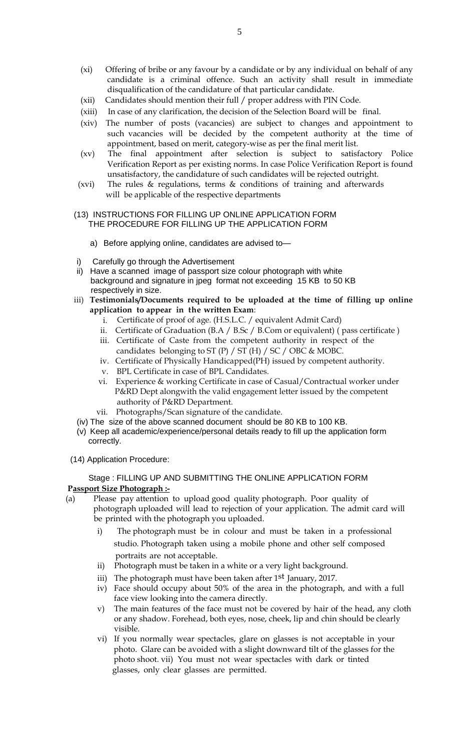- (xi) Offering of bribe or any favour by a candidate or by any individual on behalf of any candidate is a criminal offence. Such an activity shall result in immediate disqualification of the candidature of that particular candidate.
- (xii) Candidates should mention their full / proper address with PIN Code.
- (xiii) In case of any clarification, the decision of the Selection Board will be final.
- (xiv) The number of posts (vacancies) are subject to changes and appointment to such vacancies will be decided by the competent authority at the time of appointment, based on merit, category-wise as per the final merit list.
- (xv) The final appointment after selection is subject to satisfactory Police Verification Report as per existing norms. In case Police Verification Report is found unsatisfactory, the candidature of such candidates will be rejected outright.
- (xvi) The rules & regulations, terms & conditions of training and afterwards will be applicable of the respective departments

#### (13) INSTRUCTIONS FOR FILLING UP ONLINE APPLICATION FORM THE PROCEDURE FOR FILLING UP THE APPLICATION FORM

- a) Before applying online, candidates are advised to—
- i) Carefully go through the Advertisement
- ii) Have a scanned image of passport size colour photograph with white background and signature in jpeg format not exceeding 15 KB to 50 KB respectively in size.
- iii) **Testimonials/Documents required to be uploaded at the time of filling up online application to appear in the written Exam**:
	- i. Certificate of proof of age. (H.S.L.C. / equivalent Admit Card)
	- ii. Certificate of Graduation  $(B.A / B.Sc / B.Com or equivalent)$  (pass certificate)
	- iii. Certificate of Caste from the competent authority in respect of the candidates belonging to ST (P) / ST (H) / SC / OBC & MOBC.
	- iv. Certificate of Physically Handicapped(PH) issued by competent authority.
	- v. BPL Certificate in case of BPL Candidates.
	- vi. Experience & working Certificate in case of Casual/Contractual worker under P&RD Dept alongwith the valid engagement letter issued by the competent authority of P&RD Department.
	- vii. Photographs/Scan signature of the candidate.
- (iv) The size of the above scanned document should be 80 KB to 100 KB.
- (v) Keep all academic/experience/personal details ready to fill up the application form correctly.
- (14) Application Procedure:

#### Stage : FILLING UP AND SUBMITTING THE ONLINE APPLICATION FORM **Passport Size Photograph :-**

- (a) Please pay attention to upload good quality photograph. Poor quality of photograph uploaded will lead to rejection of your application. The admit card will be printed with the photograph you uploaded.
	- i) The photograph must be in colour and must be taken in a professional studio. Photograph taken using a mobile phone and other self composed portraits are not acceptable.
	- ii) Photograph must be taken in a white or a very light background.
	- iii) The photograph must have been taken after 1<sup>st</sup> January, 2017.
	- iv) Face should occupy about 50% of the area in the photograph, and with a full face view looking into the camera directly.
	- v) The main features of the face must not be covered by hair of the head, any cloth or any shadow. Forehead, both eyes, nose, cheek, lip and chin should be clearly visible.
	- vi) If you normally wear spectacles, glare on glasses is not acceptable in your photo. Glare can be avoided with a slight downward tilt of the glasses for the photo shoot. vii) You must not wear spectacles with dark or tinted glasses, only clear glasses are permitted.